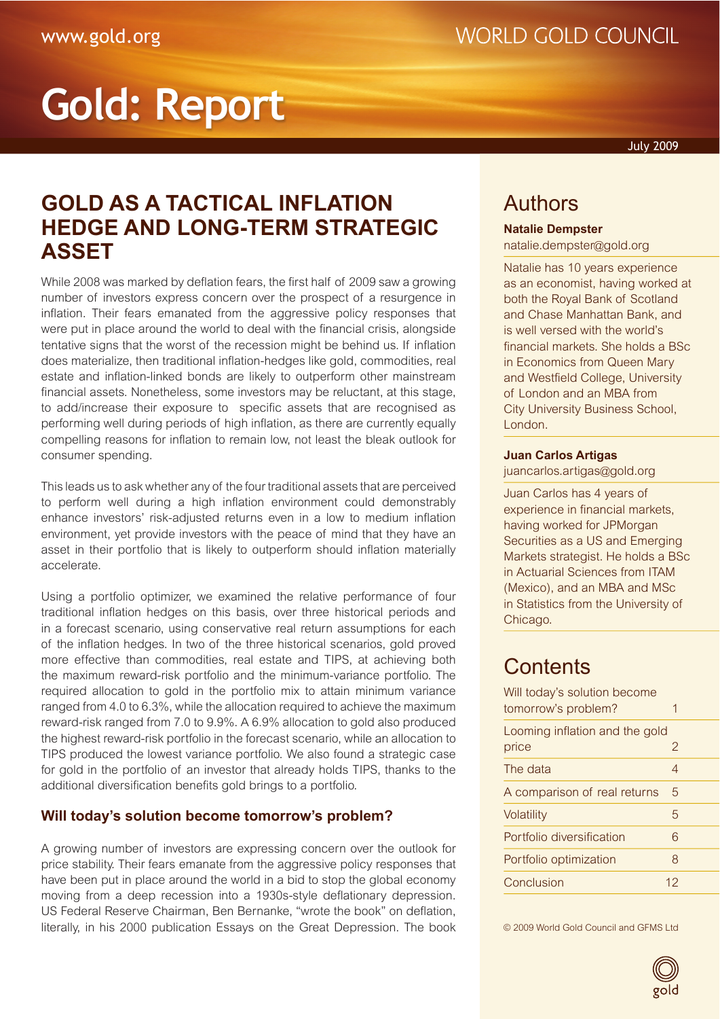## **WORLD GOLD COUNCIL**

# **Gold: Report**

July 2009

## **GOLD AS A TACTICAL INFLATION HEDGE AND LONG-TERM STRATEGIC ASSET**

While 2008 was marked by deflation fears, the first half of 2009 saw a growing number of investors express concern over the prospect of a resurgence in inflation. Their fears emanated from the aggressive policy responses that were put in place around the world to deal with the financial crisis, alongside tentative signs that the worst of the recession might be behind us. If inflation does materialize, then traditional inflation-hedges like gold, commodities, real estate and inflation-linked bonds are likely to outperform other mainstream financial assets. Nonetheless, some investors may be reluctant, at this stage, to add/increase their exposure to specific assets that are recognised as performing well during periods of high inflation, as there are currently equally compelling reasons for inflation to remain low, not least the bleak outlook for consumer spending.

This leads us to ask whether any of the four traditional assets that are perceived to perform well during a high inflation environment could demonstrably enhance investors' risk-adjusted returns even in a low to medium inflation environment, yet provide investors with the peace of mind that they have an asset in their portfolio that is likely to outperform should inflation materially accelerate.

Using a portfolio optimizer, we examined the relative performance of four traditional inflation hedges on this basis, over three historical periods and in a forecast scenario, using conservative real return assumptions for each of the inflation hedges. In two of the three historical scenarios, gold proved more effective than commodities, real estate and TIPS, at achieving both the maximum reward-risk portfolio and the minimum-variance portfolio. The required allocation to gold in the portfolio mix to attain minimum variance ranged from 4.0 to 6.3%, while the allocation required to achieve the maximum reward-risk ranged from 7.0 to 9.9%. A 6.9% allocation to gold also produced the highest reward-risk portfolio in the forecast scenario, while an allocation to TIPS produced the lowest variance portfolio. We also found a strategic case for gold in the portfolio of an investor that already holds TIPS, thanks to the additional diversification benefits gold brings to a portfolio.

#### <span id="page-0-0"></span>**Will today's solution become tomorrow's problem?**

A growing number of investors are expressing concern over the outlook for price stability. Their fears emanate from the aggressive policy responses that have been put in place around the world in a bid to stop the global economy moving from a deep recession into a 1930s-style deflationary depression. US Federal Reserve Chairman, Ben Bernanke, "wrote the book" on deflation, literally, in his 2000 publication Essays on the Great Depression. The book

## Authors

#### **Natalie Dempster**

[natalie.dempster@gold.org](mailto:natalie.dempster%40gold.org?subject=)

Natalie has 10 years experience as an economist, having worked at both the Royal Bank of Scotland and Chase Manhattan Bank, and is well versed with the world's financial markets. She holds a BSc in Economics from Queen Mary and Westfield College, University of London and an MBA from City University Business School, London.

#### **Juan Carlos Artigas**

[juancarlos.artigas@gold.org](mailto:juancarlos.artigas%40gold.org?subject=)

Juan Carlos has 4 years of experience in financial markets, having worked for JPMorgan Securities as a US and Emerging Markets strategist. He holds a BSc in Actuarial Sciences from ITAM (Mexico), and an MBA and MSc in Statistics from the University of Chicago.

### **Contents**

| Will today's solution become<br>tomorrow's problem? | 1  |
|-----------------------------------------------------|----|
| Looming inflation and the gold<br>price             | 2  |
| The data                                            | 4  |
| A comparison of real returns                        | 5  |
| Volatility                                          | 5  |
| Portfolio diversification                           | 6  |
| Portfolio optimization                              | 8  |
| Conclusion                                          | 12 |

© 2009 World Gold Council

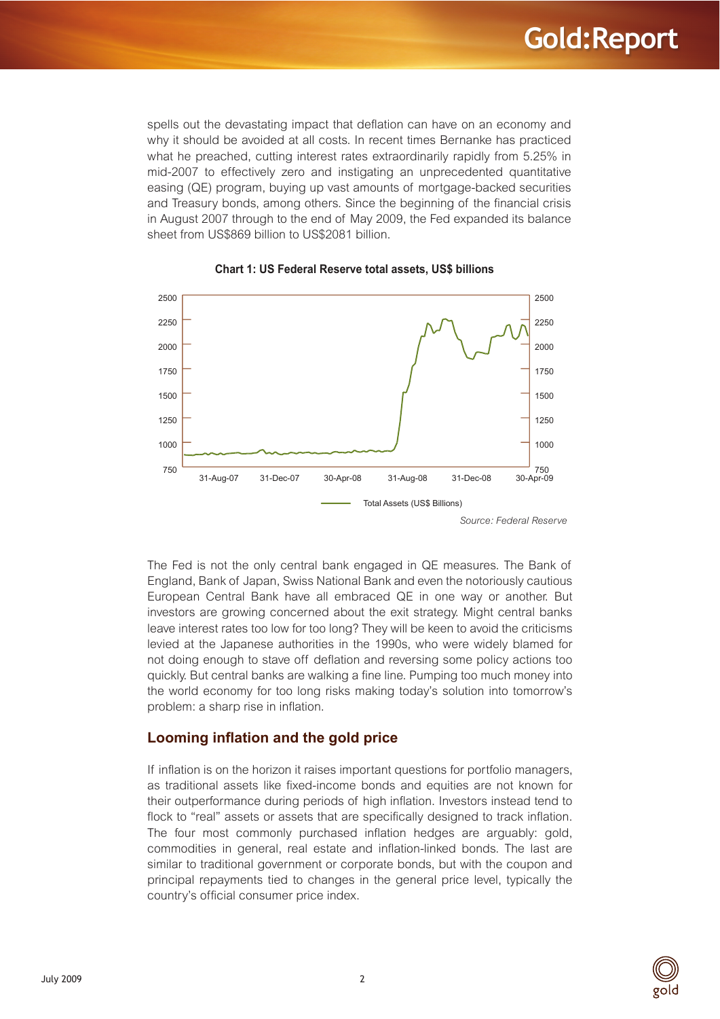spells out the devastating impact that deflation can have on an economy and why it should be avoided at all costs. In recent times Bernanke has practiced what he preached, cutting interest rates extraordinarily rapidly from 5.25% in mid-2007 to effectively zero and instigating an unprecedented quantitative easing (QE) program, buying up vast amounts of mortgage-backed securities and Treasury bonds, among others. Since the beginning of the financial crisis in August 2007 through to the end of May 2009, the Fed expanded its balance sheet from US\$869 billion to US\$2081 billion.





*Source: Federal Reserve*

The Fed is not the only central bank engaged in QE measures. The Bank of England, Bank of Japan, Swiss National Bank and even the notoriously cautious European Central Bank have all embraced QE in one way or another. But investors are growing concerned about the exit strategy. Might central banks leave interest rates too low for too long? They will be keen to avoid the criticisms levied at the Japanese authorities in the 1990s, who were widely blamed for not doing enough to stave off deflation and reversing some policy actions too quickly. But central banks are walking a fine line. Pumping too much money into the world economy for too long risks making today's solution into tomorrow's problem: a sharp rise in inflation.

#### <span id="page-1-0"></span>**Looming inflation and the gold price**

If inflation is on the horizon it raises important questions for portfolio managers, as traditional assets like fixed-income bonds and equities are not known for their outperformance during periods of high inflation. Investors instead tend to flock to "real" assets or assets that are specifically designed to track inflation. The four most commonly purchased inflation hedges are arguably: gold, commodities in general, real estate and inflation-linked bonds. The last are similar to traditional government or corporate bonds, but with the coupon and principal repayments tied to changes in the general price level, typically the country's official consumer price index.

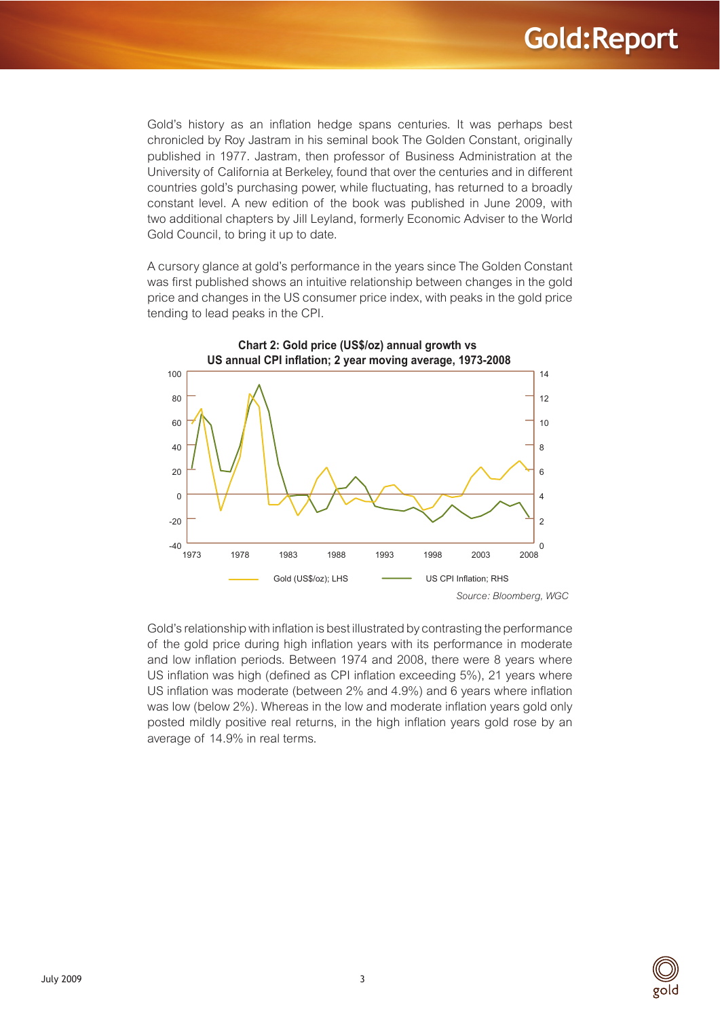Gold's history as an inflation hedge spans centuries. It was perhaps best chronicled by Roy Jastram in his seminal book The Golden Constant, originally published in 1977. Jastram, then professor of Business Administration at the University of California at Berkeley, found that over the centuries and in different countries gold's purchasing power, while fluctuating, has returned to a broadly constant level. A new edition of the book was published in June 2009, with two additional chapters by Jill Leyland, formerly Economic Adviser to the World Gold Council, to bring it up to date.

A cursory glance at gold's performance in the years since The Golden Constant was first published shows an intuitive relationship between changes in the gold price and changes in the US consumer price index, with peaks in the gold price tending to lead peaks in the CPI.



Gold's relationship with inflation is best illustrated by contrasting the performance of the gold price during high inflation years with its performance in moderate and low inflation periods. Between 1974 and 2008, there were 8 years where US inflation was high (defined as CPI inflation exceeding 5%), 21 years where US inflation was moderate (between 2% and 4.9%) and 6 years where inflation was low (below 2%). Whereas in the low and moderate inflation years gold only posted mildly positive real returns, in the high inflation years gold rose by an average of 14.9% in real terms.

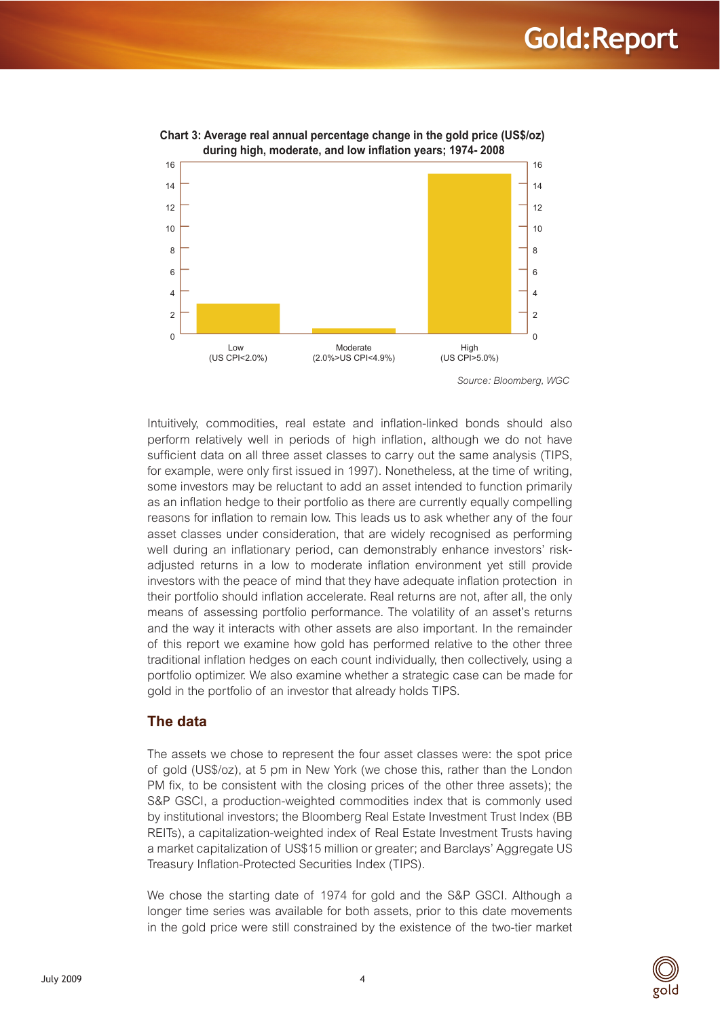

**2.0)** Chart 3: Average real annual percentage change in the gold price (US\$/oz) during high, moderate, and low inflation years; 1974- 2008

*Source: Bloomberg, WGC*

Intuitively, commodities, real estate and inflation-linked bonds should also perform relatively well in periods of high inflation, although we do not have sufficient data on all three asset classes to carry out the same analysis (TIPS, for example, were only first issued in 1997). Nonetheless, at the time of writing, some investors may be reluctant to add an asset intended to function primarily as an inflation hedge to their portfolio as there are currently equally compelling reasons for inflation to remain low. This leads us to ask whether any of the four asset classes under consideration, that are widely recognised as performing well during an inflationary period, can demonstrably enhance investors' riskadjusted returns in a low to moderate inflation environment yet still provide investors with the peace of mind that they have adequate inflation protection in their portfolio should inflation accelerate. Real returns are not, after all, the only means of assessing portfolio performance. The volatility of an asset's returns and the way it interacts with other assets are also important. In the remainder of this report we examine how gold has performed relative to the other three traditional inflation hedges on each count individually, then collectively, using a portfolio optimizer. We also examine whether a strategic case can be made for gold in the portfolio of an investor that already holds TIPS.

#### <span id="page-3-0"></span>**The data**

The assets we chose to represent the four asset classes were: the spot price of gold (US\$/oz), at 5 pm in New York (we chose this, rather than the London PM fix, to be consistent with the closing prices of the other three assets); the S&P GSCI, a production-weighted commodities index that is commonly used by institutional investors; the Bloomberg Real Estate Investment Trust Index (BB REITs), a capitalization-weighted index of Real Estate Investment Trusts having a market capitalization of US\$15 million or greater; and Barclays' Aggregate US Treasury Inflation-Protected Securities Index (TIPS).

We chose the starting date of 1974 for gold and the S&P GSCI. Although a longer time series was available for both assets, prior to this date movements in the gold price were still constrained by the existence of the two-tier market

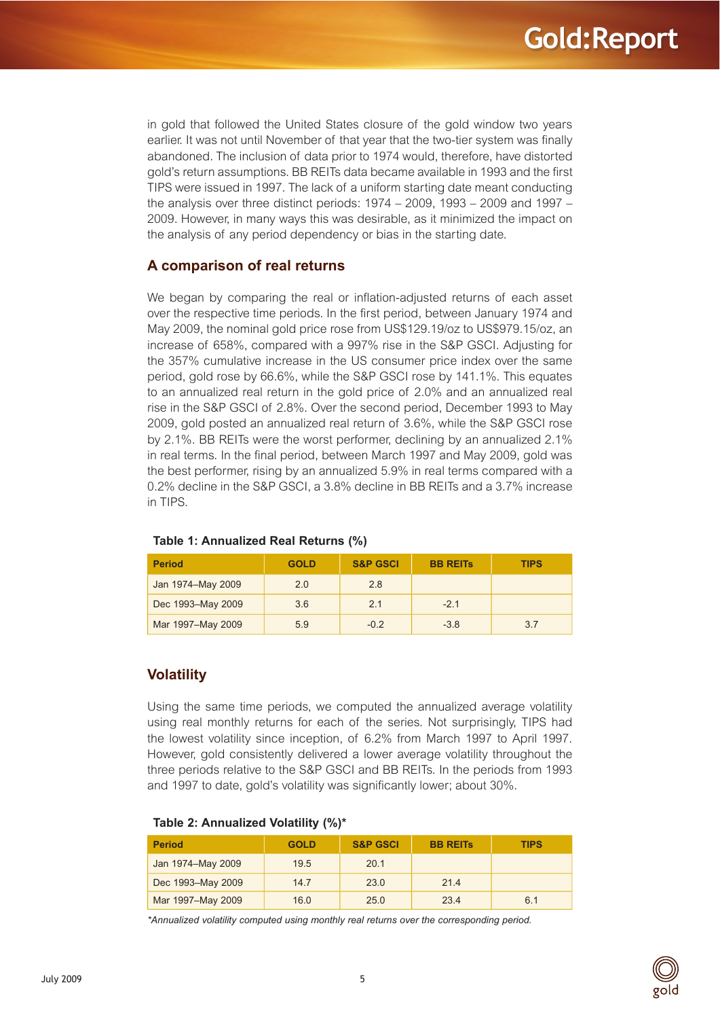in gold that followed the United States closure of the gold window two years earlier. It was not until November of that year that the two-tier system was finally abandoned. The inclusion of data prior to 1974 would, therefore, have distorted gold's return assumptions. BB REITs data became available in 1993 and the first TIPS were issued in 1997. The lack of a uniform starting date meant conducting the analysis over three distinct periods: 1974 – 2009, 1993 – 2009 and 1997 – 2009. However, in many ways this was desirable, as it minimized the impact on the analysis of any period dependency or bias in the starting date.

#### <span id="page-4-0"></span>**A comparison of real returns**

We began by comparing the real or inflation-adjusted returns of each asset over the respective time periods. In the first period, between January 1974 and May 2009, the nominal gold price rose from US\$129.19/oz to US\$979.15/oz, an increase of 658%, compared with a 997% rise in the S&P GSCI. Adjusting for the 357% cumulative increase in the US consumer price index over the same period, gold rose by 66.6%, while the S&P GSCI rose by 141.1%. This equates to an annualized real return in the gold price of 2.0% and an annualized real rise in the S&P GSCI of 2.8%. Over the second period, December 1993 to May 2009, gold posted an annualized real return of 3.6%, while the S&P GSCI rose by 2.1%. BB REITs were the worst performer, declining by an annualized 2.1% in real terms. In the final period, between March 1997 and May 2009, gold was the best performer, rising by an annualized 5.9% in real terms compared with a 0.2% decline in the S&P GSCI, a 3.8% decline in BB REITs and a 3.7% increase in TIPS.

| <b>Period</b>     | <b>GOLD</b> | <b>S&amp;P GSCI</b> | <b>BB REITS</b> | <b>TIPS</b> |
|-------------------|-------------|---------------------|-----------------|-------------|
| Jan 1974-May 2009 | 2.0         | 2.8                 |                 |             |
| Dec 1993-May 2009 | 3.6         | 2.1                 | $-2.1$          |             |
| Mar 1997-May 2009 | 5.9         | $-0.2$              | $-3.8$          | 3.7         |

#### Table 1: Annualized Real Returns (%)

#### **Volatility**

Using the same time periods, we computed the annualized average volatility using real monthly returns for each of the series. Not surprisingly, TIPS had the lowest volatility since inception, of 6.2% from March 1997 to April 1997. However, gold consistently delivered a lower average volatility throughout the three periods relative to the S&P GSCI and BB REITs. In the periods from 1993 and 1997 to date, gold's volatility was significantly lower; about 30%.

| <b>Period</b>     | <b>GOLD</b> | <b>S&amp;P GSCI</b> | <b>BB REITS</b> | <b>TIPS</b> |
|-------------------|-------------|---------------------|-----------------|-------------|
| Jan 1974-May 2009 | 19.5        | 20.1                |                 |             |
| Dec 1993-May 2009 | 14.7        | 23.0                | 214             |             |
| Mar 1997-May 2009 | 16.0        | 25.0                | 23.4            | 6.1         |

#### Table 2: Annualized Volatility (%)\*

*\*Annualized volatility computed using monthly real returns over the corresponding period.*

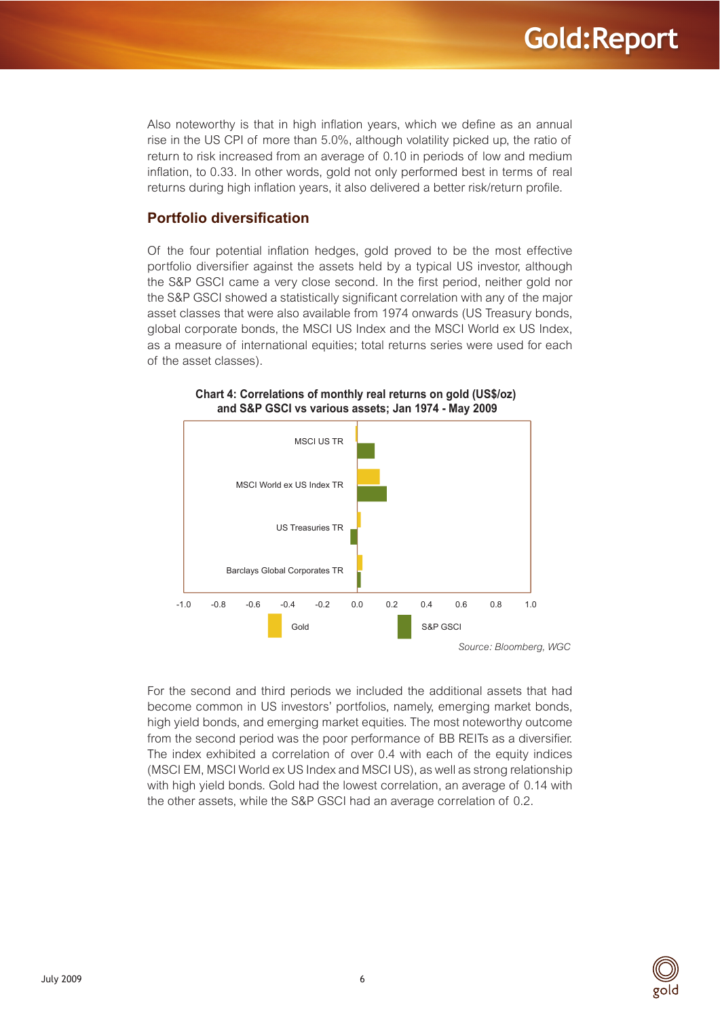Also noteworthy is that in high inflation years, which we define as an annual rise in the US CPI of more than 5.0%, although volatility picked up, the ratio of return to risk increased from an average of 0.10 in periods of low and medium inflation, to 0.33. In other words, gold not only performed best in terms of real returns during high inflation years, it also delivered a better risk/return profile.

#### <span id="page-5-0"></span>**Portfolio diversification**

Of the four potential inflation hedges, gold proved to be the most effective portfolio diversifier against the assets held by a typical US investor, although the S&P GSCI came a very close second. In the first period, neither gold nor the S&P GSCI showed a statistically significant correlation with any of the major asset classes that were also available from 1974 onwards (US Treasury bonds, global corporate bonds, the MSCI US Index and the MSCI World ex US Index, as a measure of international equities; total returns series were used for each of the asset classes).



#### **Chart 4: Correlations of monthly real returns on gold (US\$/oz) and S&P GSCI vs various assets; Jan 1974 May 2009**

For the second and third periods we included the additional assets that had become common in US investors' portfolios, namely, emerging market bonds, high yield bonds, and emerging market equities. The most noteworthy outcome from the second period was the poor performance of BB REITs as a diversifier. The index exhibited a correlation of over 0.4 with each of the equity indices (MSCI EM, MSCI World ex US Index and MSCI US), as well as strong relationship with high yield bonds. Gold had the lowest correlation, an average of 0.14 with the other assets, while the S&P GSCI had an average correlation of 0.2.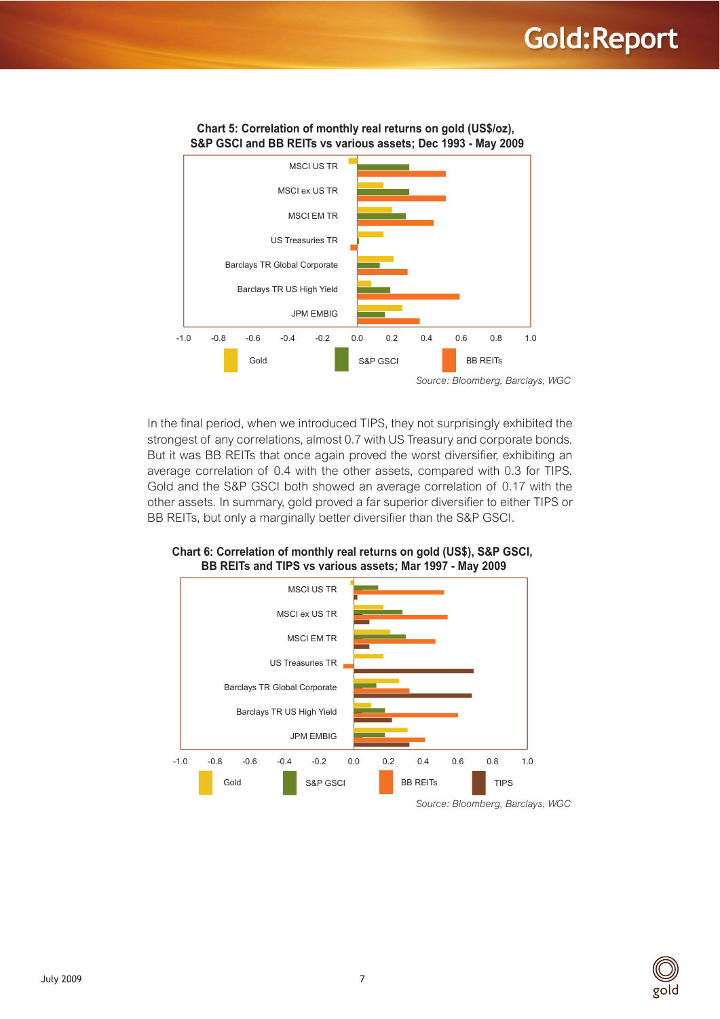## **Gold:Report**



In the final period, when we introduced TIPS, they not surprisingly exhibited the strongest of any correlations, almost 0.7 with US Treasury and corporate bonds. But it was BB REITs that once again proved the worst diversifier, exhibiting an average correlation of 0.4 with the other assets, compared with 0.3 for TIPS. Gold and the S&P GSCI both showed an average correlation of 0.17 with the other assets. In summary, gold proved a far superior diversifier to either TIPS or BB REITs, but only a marginally better diversifier than the S&P GSCI.



**2.0.12.12 Chart 6: Correlation of monthly real returns on gold (US\$), S&P GSCI.** BB REITs and TIPS vs various assets; Mar 1997 - May 2009



*Source: Bloomberg, Barclays, WGC*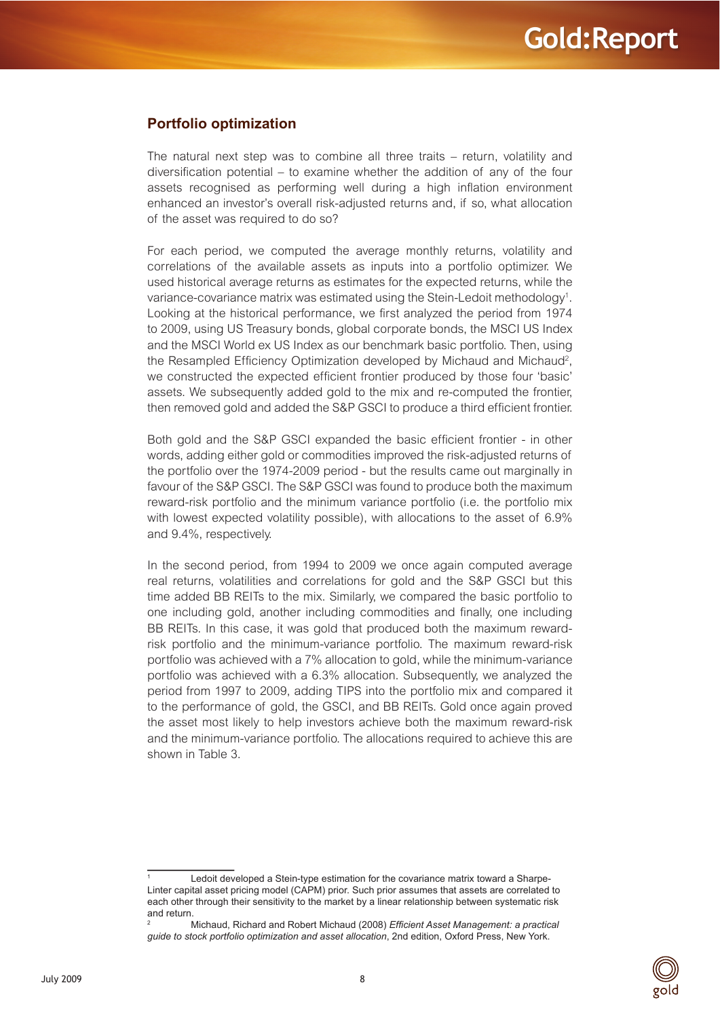#### <span id="page-7-0"></span>**Portfolio optimization**

The natural next step was to combine all three traits – return, volatility and diversification potential – to examine whether the addition of any of the four assets recognised as performing well during a high inflation environment enhanced an investor's overall risk-adjusted returns and, if so, what allocation of the asset was required to do so?

For each period, we computed the average monthly returns, volatility and correlations of the available assets as inputs into a portfolio optimizer. We used historical average returns as estimates for the expected returns, while the variance-covariance matrix was estimated using the Stein-Ledoit methodology<sup>1</sup>. Looking at the historical performance, we first analyzed the period from 1974 to 2009, using US Treasury bonds, global corporate bonds, the MSCI US Index and the MSCI World ex US Index as our benchmark basic portfolio. Then, using the Resampled Efficiency Optimization developed by Michaud and Michaud<sup>2</sup>, we constructed the expected efficient frontier produced by those four 'basic' assets. We subsequently added gold to the mix and re-computed the frontier, then removed gold and added the S&P GSCI to produce a third efficient frontier.

Both gold and the S&P GSCI expanded the basic efficient frontier - in other words, adding either gold or commodities improved the risk-adjusted returns of the portfolio over the 1974-2009 period - but the results came out marginally in favour of the S&P GSCI. The S&P GSCI was found to produce both the maximum reward-risk portfolio and the minimum variance portfolio (i.e. the portfolio mix with lowest expected volatility possible), with allocations to the asset of 6.9% and 9.4%, respectively.

In the second period, from 1994 to 2009 we once again computed average real returns, volatilities and correlations for gold and the S&P GSCI but this time added BB REITs to the mix. Similarly, we compared the basic portfolio to one including gold, another including commodities and finally, one including BB REITs. In this case, it was gold that produced both the maximum rewardrisk portfolio and the minimum-variance portfolio. The maximum reward-risk portfolio was achieved with a 7% allocation to gold, while the minimum-variance portfolio was achieved with a 6.3% allocation. Subsequently, we analyzed the period from 1997 to 2009, adding TIPS into the portfolio mix and compared it to the performance of gold, the GSCI, and BB REITs. Gold once again proved the asset most likely to help investors achieve both the maximum reward-risk and the minimum-variance portfolio. The allocations required to achieve this are shown in Table 3.



Ledoit developed a Stein-type estimation for the covariance matrix toward a Sharpe-Linter capital asset pricing model (CAPM) prior. Such prior assumes that assets are correlated to each other through their sensitivity to the market by a linear relationship between systematic risk and return.

Michaud, Richard and Robert Michaud (2008) *Efficient Asset Management: a practical guide to stock portfolio optimization and asset allocation*, 2nd edition, Oxford Press, New York.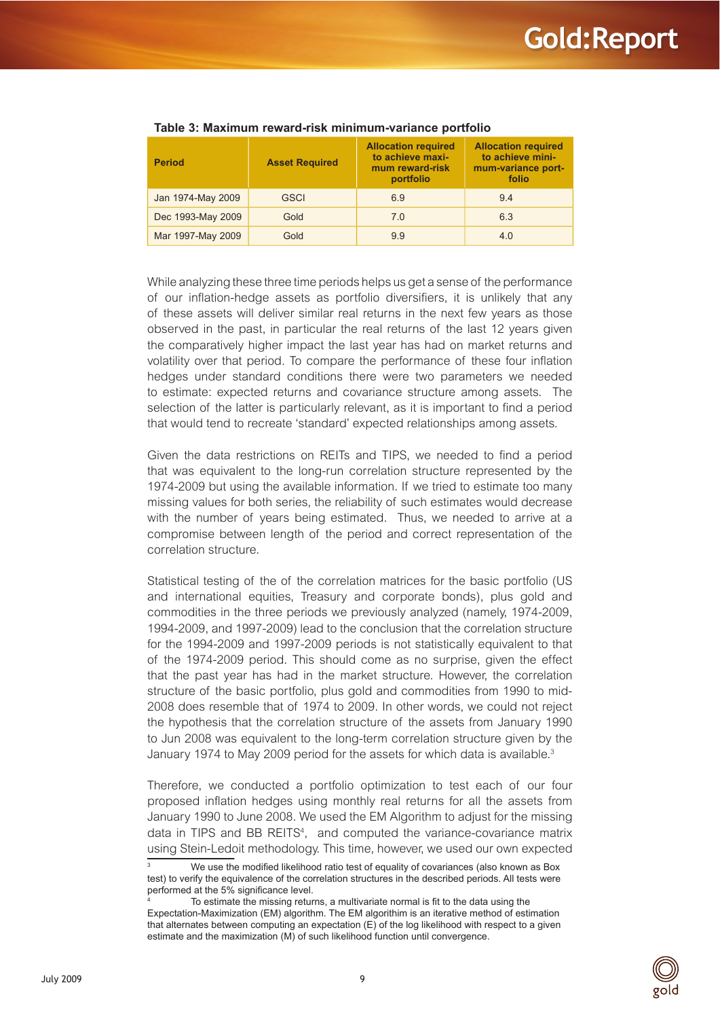| <b>Period</b>     | <b>Asset Required</b> | <b>Allocation required</b><br>to achieve maxi-<br>mum reward-risk<br>portfolio | <b>Allocation required</b><br>to achieve mini-<br>mum-variance port-<br>folio |
|-------------------|-----------------------|--------------------------------------------------------------------------------|-------------------------------------------------------------------------------|
| Jan 1974-May 2009 | <b>GSCI</b>           | 6.9                                                                            | 9.4                                                                           |
| Dec 1993-May 2009 | Gold                  | 7.0                                                                            | 6.3                                                                           |
| Mar 1997-May 2009 | Gold                  | 9.9                                                                            | 4.0                                                                           |

#### **Table 3: Maximum reward-risk minimum-variance portfolio**

While analyzing these three time periods helps us get a sense of the performance of our inflation-hedge assets as portfolio diversifiers, it is unlikely that any of these assets will deliver similar real returns in the next few years as those observed in the past, in particular the real returns of the last 12 years given the comparatively higher impact the last year has had on market returns and volatility over that period. To compare the performance of these four inflation hedges under standard conditions there were two parameters we needed to estimate: expected returns and covariance structure among assets. The selection of the latter is particularly relevant, as it is important to find a period that would tend to recreate 'standard' expected relationships among assets.

Given the data restrictions on REITs and TIPS, we needed to find a period that was equivalent to the long-run correlation structure represented by the 1974-2009 but using the available information. If we tried to estimate too many missing values for both series, the reliability of such estimates would decrease with the number of years being estimated. Thus, we needed to arrive at a compromise between length of the period and correct representation of the correlation structure.

Statistical testing of the of the correlation matrices for the basic portfolio (US and international equities, Treasury and corporate bonds), plus gold and commodities in the three periods we previously analyzed (namely, 1974-2009, 1994-2009, and 1997-2009) lead to the conclusion that the correlation structure for the 1994-2009 and 1997-2009 periods is not statistically equivalent to that of the 1974-2009 period. This should come as no surprise, given the effect that the past year has had in the market structure. However, the correlation structure of the basic portfolio, plus gold and commodities from 1990 to mid-2008 does resemble that of 1974 to 2009. In other words, we could not reject the hypothesis that the correlation structure of the assets from January 1990 to Jun 2008 was equivalent to the long-term correlation structure given by the January 1974 to May 2009 period for the assets for which data is available.<sup>3</sup>

Therefore, we conducted a portfolio optimization to test each of our four proposed inflation hedges using monthly real returns for all the assets from January 1990 to June 2008. We used the EM Algorithm to adjust for the missing data in TIPS and BB REITS<sup>4</sup>, and computed the variance-covariance matrix using Stein-Ledoit methodology. This time, however, we used our own expected



<sup>3</sup> We use the modified likelihood ratio test of equality of covariances (also known as Box test) to verify the equivalence of the correlation structures in the described periods. All tests were performed at the 5% significance level.

<sup>4</sup> To estimate the missing returns, a multivariate normal is fit to the data using the Expectation-Maximization (EM) algorithm. The EM algorithim is an iterative method of estimation that alternates between computing an expectation (E) of the log likelihood with respect to a given estimate and the maximization (M) of such likelihood function until convergence.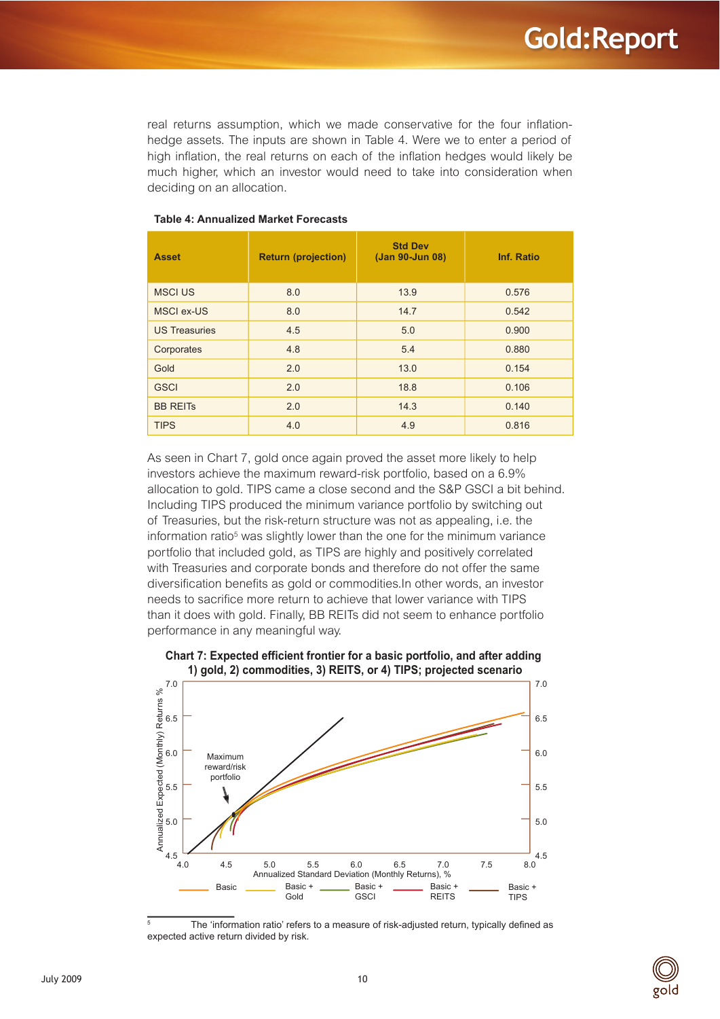real returns assumption, which we made conservative for the four inflationhedge assets. The inputs are shown in Table 4. Were we to enter a period of high inflation, the real returns on each of the inflation hedges would likely be much higher, which an investor would need to take into consideration when deciding on an allocation.

| <b>Asset</b>         | <b>Return (projection)</b> | <b>Std Dev</b><br>(Jan 90-Jun 08) | Inf. Ratio |
|----------------------|----------------------------|-----------------------------------|------------|
| <b>MSCI US</b>       | 8.0                        | 13.9                              | 0.576      |
| <b>MSCI ex-US</b>    | 8.0                        | 14.7                              | 0.542      |
| <b>US Treasuries</b> | 4.5                        | 5.0                               | 0.900      |
| Corporates           | 4.8                        | 5.4                               | 0.880      |
| Gold                 | 2.0                        | 13.0                              | 0.154      |
| <b>GSCI</b>          | 2.0                        | 18.8                              | 0.106      |
| <b>BB REITS</b>      | 2.0                        | 14.3                              | 0.140      |
| <b>TIPS</b>          | 4.0                        | 4.9                               | 0.816      |

#### **Table 4: Annualized Market Forecasts**

As seen in Chart 7, gold once again proved the asset more likely to help investors achieve the maximum reward-risk portfolio, based on a 6.9% allocation to gold. TIPS came a close second and the S&P GSCI a bit behind. Including TIPS produced the minimum variance portfolio by switching out of Treasuries, but the risk-return structure was not as appealing, i.e. the information ratio<sup>5</sup> was slightly lower than the one for the minimum variance portfolio that included gold, as TIPS are highly and positively correlated with Treasuries and corporate bonds and therefore do not offer the same diversification benefits as gold or commodities.In other words, an investor needs to sacrifice more return to achieve that lower variance with TIPS than it does with gold. Finally, BB REITs did not seem to enhance portfolio performance in any meaningful way.



## **2.)** Chart 7: Expected efficient frontier for a basic portfolio, and after adding

5 The 'information ratio' refers to a measure of risk-adjusted return, typically defined as expected active return divided by risk.

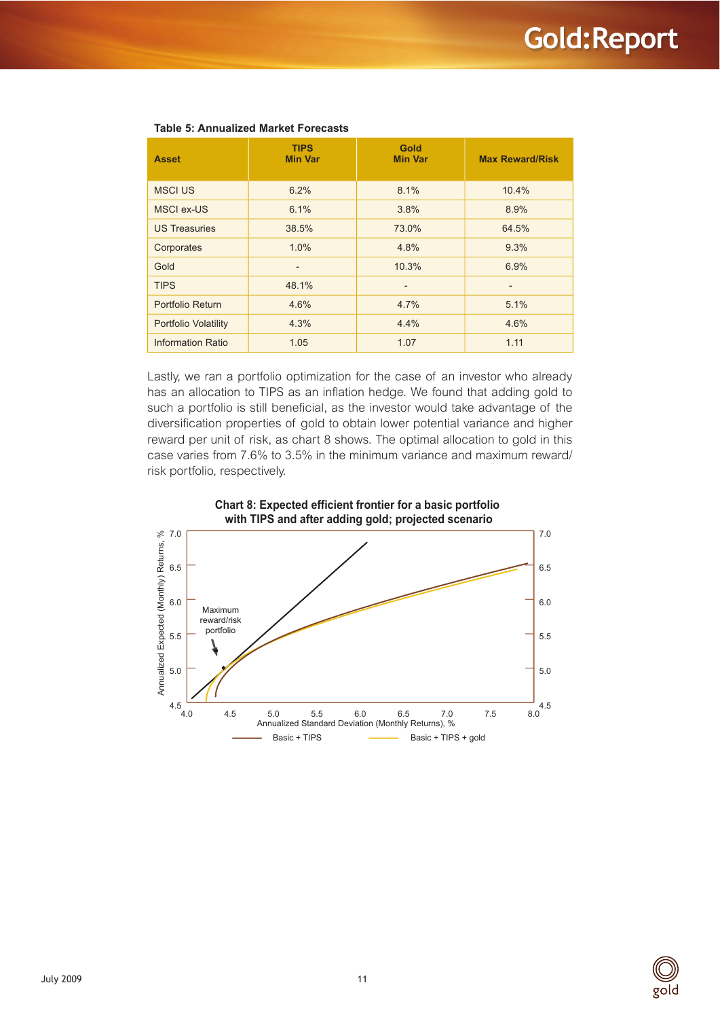| <b>Asset</b>             | <b>TIPS</b><br><b>Min Var</b> | Gold<br><b>Min Var</b> | <b>Max Reward/Risk</b> |
|--------------------------|-------------------------------|------------------------|------------------------|
| <b>MSCI US</b>           | 6.2%                          | 8.1%                   | 10.4%                  |
| MSCI ex-US               | 6.1%                          | 3.8%                   | 8.9%                   |
| <b>US Treasuries</b>     | 38.5%                         | 73.0%                  | 64.5%                  |
| Corporates               | 1.0%                          | 4.8%                   | 9.3%                   |
| Gold                     | $\qquad \qquad -$             | 10.3%                  | 6.9%                   |
| <b>TIPS</b>              | 48.1%                         |                        |                        |
| Portfolio Return         | 4.6%                          | 4.7%                   | 5.1%                   |
| Portfolio Volatility     | 4.3%                          | 4.4%                   | 4.6%                   |
| <b>Information Ratio</b> | 1.05                          | 1.07                   | 1.11                   |

#### **Table 5: Annualized Market Forecasts**

Lastly, we ran a portfolio optimization for the case of an investor who already has an allocation to TIPS as an inflation hedge. We found that adding gold to such a portfolio is still beneficial, as the investor would take advantage of the diversification properties of gold to obtain lower potential variance and higher reward per unit of risk, as chart 8 shows. The optimal allocation to gold in this case varies from 7.6% to 3.5% in the minimum variance and maximum reward/ risk portfolio, respectively.